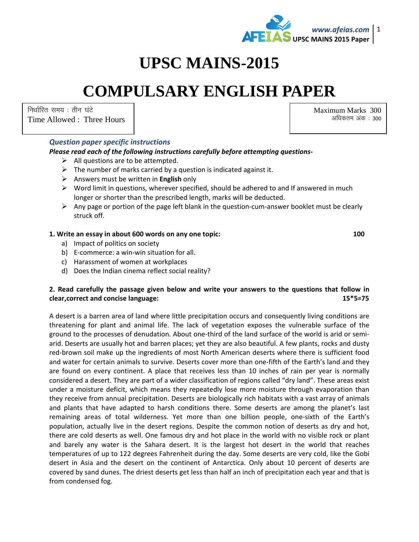

## **UPSC MAINS-2015**

# **COMPULSARY ENGLISH PAPER**

निर्धारित समय: तीन घंटे Time Allowed : Three Hours

Maximum Marks 300 अधिकतम $\frac{1}{4}$ अधिकतम $\frac{1}{4}$ अधिकतम $\frac{1}{4}$ अंक $\frac{1}{4}$ : 300

## *Question paper specific instructions*

#### *Please read each of the following instructions carefully before attempting questions-*

- $\triangleright$  All questions are to be attempted.
- $\triangleright$  The number of marks carried by a question is indicated against it.
- Answers must be written in **English** only
- $\triangleright$  Word limit in questions, wherever specified, should be adhered to and If answered in much longer or shorter than the prescribed length, marks will be deducted.
- Any page or portion of the page left blank in the question-cum-answer booklet must be clearly struck off.

#### **1. Write an essay in about 600 words on any one topic: 100**

- a) Impact of politics on society
- b) E-commerce: a win-win situation for all.
- c) Harassment of women at workplaces
- d) Does the Indian cinema reflect social reality?

### **2. Read carefully the passage given below and write your answers to the questions that follow in clear,correct and concise language: 15\*5=75**

A desert is a barren area of land where little precipitation occurs and consequently living conditions are threatening for plant and animal life. The lack of vegetation exposes the vulnerable surface of the ground to the processes of denudation. About one-third of the land surface of the world is arid or semiarid. Deserts are usually hot and barren places; yet they are also beautiful. A few plants, rocks and dusty red-brown soil make up the ingredients of most North American deserts where there is sufficient food and water for certain animals to survive. Deserts cover more than one-fifth of the Earth's land and they are found on every continent. A place that receives less than 10 inches of rain per year is normally considered a desert. They are part of a wider classification of regions called "dry land". These areas exist under a moisture deficit, which means they repeatedly lose more moisture through evaporation than they receive from annual precipitation. Deserts are biologically rich habitats with a vast array of animals and plants that have adapted to harsh conditions there. Some deserts are among the planet's last remaining areas of total wilderness. Yet more than one billion people, one-sixth of the Earth's population, actually live in the desert regions. Despite the common notion of deserts as dry and hot, there are cold deserts as well. One famous dry and hot place in the world with no visible rock or plant and barely any water is the Sahara desert. It is the largest hot desert in the world that reaches temperatures of up to 122 degrees Fahrenheit during the day. Some deserts are very cold, like the Gobi desert in Asia and the desert on the continent of Antarctica. Only about 10 percent of deserts are covered by sand dunes. The driest deserts get less than half an inch of precipitation each year and that is from condensed fog.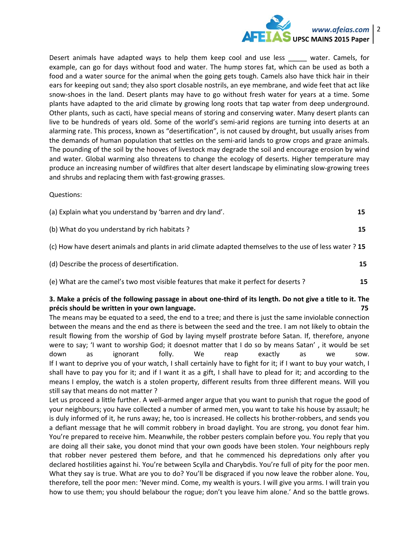

Desert animals have adapted ways to help them keep cool and use less water. Camels, for example, can go for days without food and water. The hump stores fat, which can be used as both a food and a water source for the animal when the going gets tough. Camels also have thick hair in their ears for keeping out sand; they also sport closable nostrils, an eye membrane, and wide feet that act like snow-shoes in the land. Desert plants may have to go without fresh water for years at a time. Some plants have adapted to the arid climate by growing long roots that tap water from deep underground. Other plants, such as cacti, have special means of storing and conserving water. Many desert plants can live to be hundreds of years old. Some of the world's semi-arid regions are turning into deserts at an alarming rate. This process, known as "desertification", is not caused by drought, but usually arises from the demands of human population that settles on the semi-arid lands to grow crops and graze animals. The pounding of the soil by the hooves of livestock may degrade the soil and encourage erosion by wind and water. Global warming also threatens to change the ecology of deserts. Higher temperature may produce an increasing number of wildfires that alter desert landscape by eliminating slow-growing trees and shrubs and replacing them with fast-growing grasses.

#### Questions:

| (a) Explain what you understand by 'barren and dry land'.                                               | 15 |
|---------------------------------------------------------------------------------------------------------|----|
| (b) What do you understand by rich habitats ?                                                           | 15 |
| (c) How have desert animals and plants in arid climate adapted themselves to the use of less water ? 15 |    |
| (d) Describe the process of desertification.                                                            | 15 |
|                                                                                                         |    |

(e) What are the camel's two most visible features that make it perfect for deserts ? **15** 

## **3. Make a précis of the following passage in about one-third of its length. Do not give a title to it. The précis should be written in your own language. 75**

The means may be equated to a seed, the end to a tree; and there is just the same inviolable connection between the means and the end as there is between the seed and the tree. I am not likely to obtain the result flowing from the worship of God by laying myself prostrate before Satan. If, therefore, anyone were to say; 'I want to worship God; it doesnot matter that I do so by means Satan' , it would be set down as ignorant folly. We reap exactly as we sow. If I want to deprive you of your watch, I shall certainly have to fight for it; if I want to buy your watch, I shall have to pay you for it; and if I want it as a gift, I shall have to plead for it; and according to the means I employ, the watch is a stolen property, different results from three different means. Will you still say that means do not matter ?

Let us proceed a little further. A well-armed anger argue that you want to punish that rogue the good of your neighbours; you have collected a number of armed men, you want to take his house by assault; he is duly informed of it, he runs away; he, too is increased. He collects his brother-robbers, and sends you a defiant message that he will commit robbery in broad daylight. You are strong, you donot fear him. You're prepared to receive him. Meanwhile, the robber pesters complain before you. You reply that you are doing all their sake, you donot mind that your own goods have been stolen. Your neighbours reply that robber never pestered them before, and that he commenced his depredations only after you declared hostilities against hi. You're between Scylla and Charybdis. You're full of pity for the poor men. What they say is true. What are you to do? You'll be disgraced if you now leave the robber alone. You, therefore, tell the poor men: 'Never mind. Come, my wealth is yours. I will give you arms. I will train you how to use them; you should belabour the rogue; don't you leave him alone.' And so the battle grows.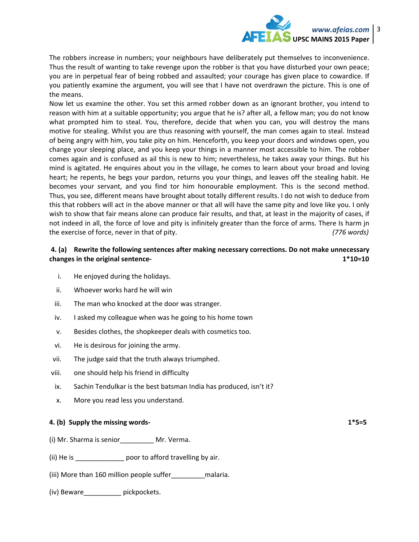

The robbers increase in numbers; your neighbours have deliberately put themselves to inconvenience. Thus the result of wanting to take revenge upon the robber is that you have disturbed your own peace; you are in perpetual fear of being robbed and assaulted; your courage has given place to cowardice. If you patiently examine the argument, you will see that I have not overdrawn the picture. This is one of the means.

Now let us examine the other. You set this armed robber down as an ignorant brother, you intend to reason with him at a suitable opportunity; you argue that he is? after all, a fellow man; you do not know what prompted him to steal. You, therefore, decide that when you can, you will destroy the mans motive for stealing. Whilst you are thus reasoning with yourself, the man comes again to steal. Instead of being angry with him, you take pity on him. Henceforth, you keep your doors and windows open, you change your sleeping place, and you keep your things in a manner most accessible to him. The robber comes again and is confused as ail this is new to him; nevertheless, he takes away your things. But his mind is agitated. He enquires about you in the village, he comes to learn about your broad and loving heart; he repents, he begs your pardon, returns you your things, and leaves off the stealing habit. He becomes your servant, and you find tor him honourable employment. This is the second method. Thus, you see, different means have brought about totally different results. I do not wish to deduce from this that robbers will act in the above manner or that all will have the same pity and love like you. I only wish to show that fair means alone can produce fair results, and that, at least in the majority of cases, if not indeed in all, the force of love and pity is infinitely greater than the force of arms. There Is harm jn the exercise of force, never in that of pity. *(776 words)* 

## **4. (a) Rewrite the following sentences after making necessary corrections. Do not make unnecessary changes in the original sentence- 1\*10=10**

- i. He enjoyed during the holidays.
- ii. Whoever works hard he will win
- iii. The man who knocked at the door was stranger.
- iv. I asked my colleague when was he going to his home town
- v. Besides clothes, the shopkeeper deals with cosmetics too.
- vi. He is desirous for joining the army.
- vii. The judge said that the truth always triumphed.
- viii. one should help his friend in difficulty
- ix. Sachin Tendulkar is the best batsman India has produced, isn't it?
- x. More you read less you understand.

#### **4. (b) Supply the missing words- 1\*5=5**

- (i) Mr. Sharma is senior\_\_\_\_\_\_\_\_\_ Mr. Verma.
- (ii) He is \_\_\_\_\_\_\_\_\_\_\_\_\_\_\_\_ poor to afford travelling by air.
- (iii) More than 160 million people suffer\_\_\_\_\_\_\_\_\_malaria.
- (iv) Beware\_\_\_\_\_\_\_\_\_\_ pickpockets.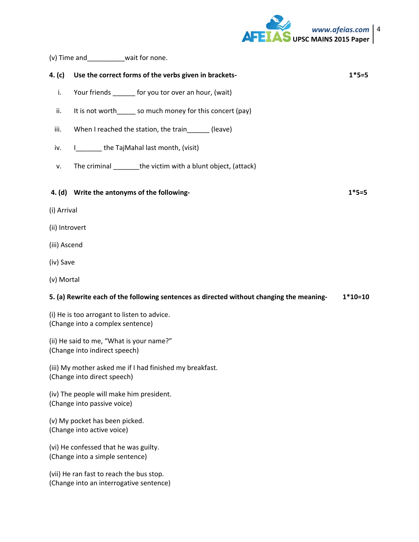

## (v) Time and\_\_\_\_\_\_\_\_\_\_wait for none.

| 4. $(c)$       | Use the correct forms of the verbs given in brackets-                                    | $1*5=5$   |
|----------------|------------------------------------------------------------------------------------------|-----------|
| i.             | Your friends _______ for you tor over an hour, (wait)                                    |           |
| ii.            | It is not worth______ so much money for this concert (pay)                               |           |
| iii.           | When I reached the station, the train______(leave)                                       |           |
| iv.            | I________ the TajMahal last month, (visit)                                               |           |
| v.             | The criminal __________ the victim with a blunt object, (attack)                         |           |
|                | 4. (d) Write the antonyms of the following-                                              | $1*5=5$   |
| (i) Arrival    |                                                                                          |           |
| (ii) Introvert |                                                                                          |           |
| (iii) Ascend   |                                                                                          |           |
| (iv) Save      |                                                                                          |           |
| (v) Mortal     |                                                                                          |           |
|                | 5. (a) Rewrite each of the following sentences as directed without changing the meaning- | $1*10=10$ |
|                | (i) He is too arrogant to listen to advice.<br>(Change into a complex sentence)          |           |
|                | (ii) He said to me, "What is your name?"<br>(Change into indirect speech)                |           |
|                | (iii) My mother asked me if I had finished my breakfast.<br>(Change into direct speech)  |           |
|                | (iv) The people will make him president.<br>(Change into passive voice)                  |           |
|                | (v) My pocket has been picked.<br>(Change into active voice)                             |           |
|                | (vi) He confessed that he was guilty.<br>(Change into a simple sentence)                 |           |
|                | (vii) He ran fast to reach the bus stop.                                                 |           |

(Change into an interrogative sentence)